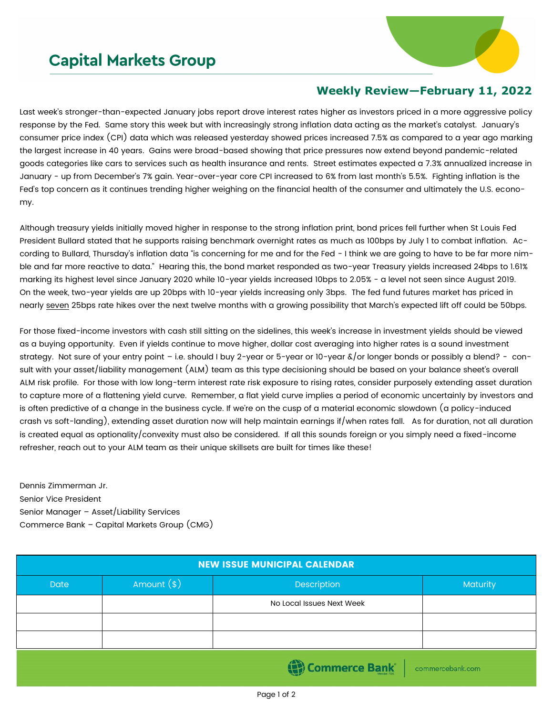## **Capital Markets Group**



## **Weekly Review—February 11, 2022**

Last week's stronger-than-expected January jobs report drove interest rates higher as investors priced in a more aggressive policy response by the Fed. Same story this week but with increasingly strong inflation data acting as the market's catalyst. January's consumer price index (CPI) data which was released yesterday showed prices increased 7.5% as compared to a year ago marking the largest increase in 40 years. Gains were broad-based showing that price pressures now extend beyond pandemic-related goods categories like cars to services such as health insurance and rents. Street estimates expected a 7.3% annualized increase in January - up from December's 7% gain. Year-over-year core CPI increased to 6% from last month's 5.5%. Fighting inflation is the Fed's top concern as it continues trending higher weighing on the financial health of the consumer and ultimately the U.S. economy.

Although treasury yields initially moved higher in response to the strong inflation print, bond prices fell further when St Louis Fed President Bullard stated that he supports raising benchmark overnight rates as much as 100bps by July 1 to combat inflation. According to Bullard, Thursday's inflation data "is concerning for me and for the Fed - I think we are going to have to be far more nimble and far more reactive to data." Hearing this, the bond market responded as two-year Treasury yields increased 24bps to 1.61% marking its highest level since January 2020 while 10-year yields increased 10bps to 2.05% - a level not seen since August 2019. On the week, two-year yields are up 20bps with 10-year yields increasing only 3bps. The fed fund futures market has priced in nearly seven 25bps rate hikes over the next twelve months with a growing possibility that March's expected lift off could be 50bps.

For those fixed-income investors with cash still sitting on the sidelines, this week's increase in investment yields should be viewed as a buying opportunity. Even if yields continue to move higher, dollar cost averaging into higher rates is a sound investment strategy. Not sure of your entry point – i.e. should I buy 2-year or 5-year or 10-year &/or longer bonds or possibly a blend? - consult with your asset/liability management (ALM) team as this type decisioning should be based on your balance sheet's overall ALM risk profile. For those with low long-term interest rate risk exposure to rising rates, consider purposely extending asset duration to capture more of a flattening yield curve. Remember, a flat yield curve implies a period of economic uncertainly by investors and is often predictive of a change in the business cycle. If we're on the cusp of a material economic slowdown (a policy-induced crash vs soft-landing), extending asset duration now will help maintain earnings if/when rates fall. As for duration, not all duration is created equal as optionality/convexity must also be considered. If all this sounds foreign or you simply need a fixed-income refresher, reach out to your ALM team as their unique skillsets are built for times like these!

Dennis Zimmerman Jr. Senior Vice President Senior Manager – Asset/Liability Services Commerce Bank – Capital Markets Group (CMG)

| <b>NEW ISSUE MUNICIPAL CALENDAR</b> |              |                           |          |  |  |  |
|-------------------------------------|--------------|---------------------------|----------|--|--|--|
| <b>Date</b>                         | Amount $(*)$ | Description               | Maturity |  |  |  |
|                                     |              | No Local Issues Next Week |          |  |  |  |
|                                     |              |                           |          |  |  |  |
|                                     |              |                           |          |  |  |  |
| Commerce Bank<br>commercebank.com   |              |                           |          |  |  |  |